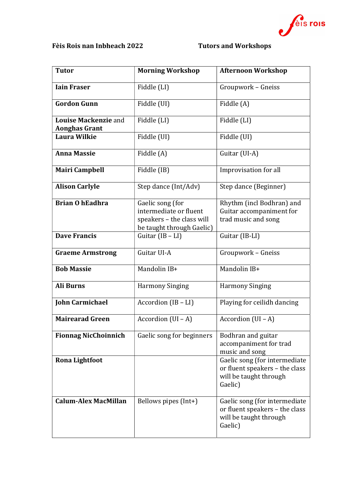

## Fèis Rois nan Inbheach 2022 Tutors and Workshops

| <b>Tutor</b>                                        | <b>Morning Workshop</b>                                                                              | <b>Afternoon Workshop</b>                                                                            |
|-----------------------------------------------------|------------------------------------------------------------------------------------------------------|------------------------------------------------------------------------------------------------------|
| <b>Iain Fraser</b>                                  | Fiddle (LI)                                                                                          | Groupwork - Gneiss                                                                                   |
| <b>Gordon Gunn</b>                                  | Fiddle (UI)                                                                                          | Fiddle (A)                                                                                           |
| <b>Louise Mackenzie and</b><br><b>Aonghas Grant</b> | Fiddle (LI)                                                                                          | Fiddle (LI)                                                                                          |
| <b>Laura Wilkie</b>                                 | Fiddle (UI)                                                                                          | Fiddle (UI)                                                                                          |
| <b>Anna Massie</b>                                  | Fiddle (A)                                                                                           | Guitar (UI-A)                                                                                        |
| <b>Mairi Campbell</b>                               | Fiddle (IB)                                                                                          | Improvisation for all                                                                                |
| <b>Alison Carlyle</b>                               | Step dance (Int/Adv)                                                                                 | Step dance (Beginner)                                                                                |
| <b>Brian O hEadhra</b>                              | Gaelic song (for<br>intermediate or fluent<br>speakers - the class will<br>be taught through Gaelic) | Rhythm (incl Bodhran) and<br>Guitar accompaniment for<br>trad music and song                         |
| <b>Dave Francis</b>                                 | Guitar $(IB - LI)$                                                                                   | Guitar (IB-LI)                                                                                       |
| <b>Graeme Armstrong</b>                             | Guitar UI-A                                                                                          | Groupwork - Gneiss                                                                                   |
| <b>Bob Massie</b>                                   | Mandolin IB+                                                                                         | Mandolin IB+                                                                                         |
| <b>Ali Burns</b>                                    | <b>Harmony Singing</b>                                                                               | <b>Harmony Singing</b>                                                                               |
| <b>John Carmichael</b>                              | Accordion $(IB - LI)$                                                                                | Playing for ceilidh dancing                                                                          |
| <b>Mairearad Green</b>                              | Accordion $(UI - A)$                                                                                 | Accordion $(UI - A)$                                                                                 |
| <b>Fionnag NicChoinnich</b>                         | Gaelic song for beginners                                                                            | Bodhran and guitar<br>accompaniment for trad<br>music and song                                       |
| <b>Rona Lightfoot</b>                               |                                                                                                      | Gaelic song (for intermediate<br>or fluent speakers - the class<br>will be taught through<br>Gaelic) |
| <b>Calum-Alex MacMillan</b>                         | Bellows pipes (Int+)                                                                                 | Gaelic song (for intermediate<br>or fluent speakers - the class<br>will be taught through<br>Gaelic) |